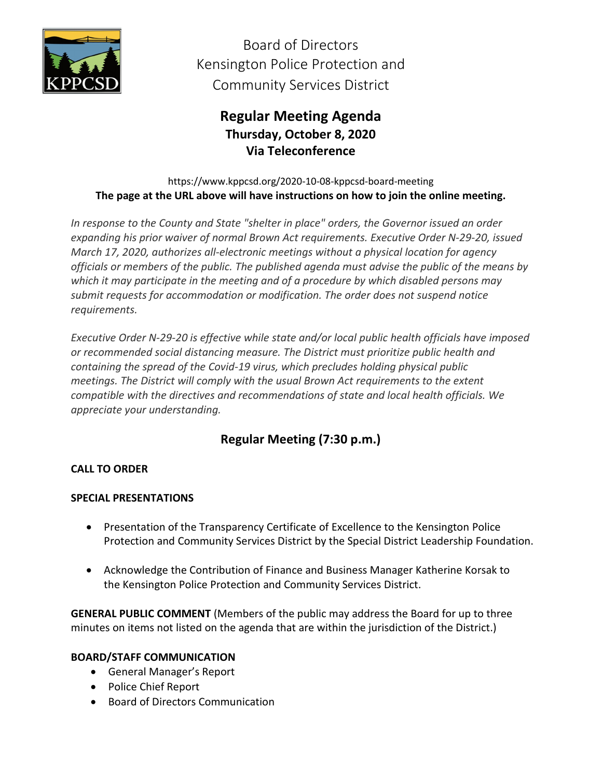

Board of Directors Kensington Police Protection and Community Services District

# **Regular Meeting Agenda Thursday, October 8, 2020 Via Teleconference**

https://www.kppcsd.org/2020-10-08-kppcsd-board-meeting **The page at the URL above will have instructions on how to join the online meeting.**

*In response to the County and State "shelter in place" orders, the Governor issued an order expanding his prior waiver of normal Brown Act requirements. Executive Order N‐29‐20, issued March 17, 2020, authorizes all‐electronic meetings without a physical location for agency officials or members of the public. The published agenda must advise the public of the means by which it may participate in the meeting and of a procedure by which disabled persons may submit requests for accommodation or modification. The order does not suspend notice requirements.*

*Executive Order N‐29‐20 is effective while state and/or local public health officials have imposed or recommended social distancing measure. The District must prioritize public health and containing the spread of the Covid‐19 virus, which precludes holding physical public meetings. The District will comply with the usual Brown Act requirements to the extent compatible with the directives and recommendations of state and local health officials. We appreciate your understanding.*

# **Regular Meeting (7:30 p.m.)**

## **CALL TO ORDER**

### **SPECIAL PRESENTATIONS**

- Presentation of the Transparency Certificate of Excellence to the Kensington Police Protection and Community Services District by the Special District Leadership Foundation.
- Acknowledge the Contribution of Finance and Business Manager Katherine Korsak to the Kensington Police Protection and Community Services District.

**GENERAL PUBLIC COMMENT** (Members of the public may address the Board for up to three minutes on items not listed on the agenda that are within the jurisdiction of the District.)

### **BOARD/STAFF COMMUNICATION**

- General Manager's Report
- Police Chief Report
- Board of Directors Communication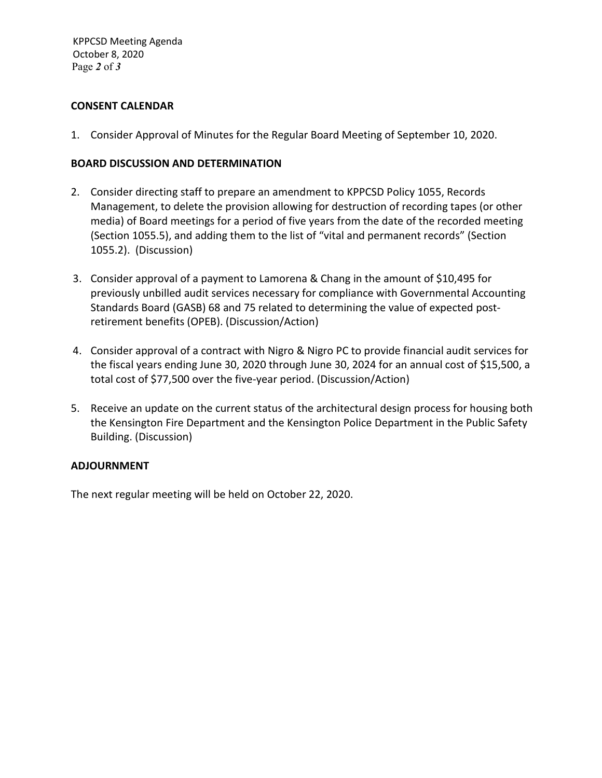#### **CONSENT CALENDAR**

1. Consider Approval of Minutes for the Regular Board Meeting of September 10, 2020.

#### **BOARD DISCUSSION AND DETERMINATION**

- 2. Consider directing staff to prepare an amendment to KPPCSD Policy 1055, Records Management, to delete the provision allowing for destruction of recording tapes (or other media) of Board meetings for a period of five years from the date of the recorded meeting (Section 1055.5), and adding them to the list of "vital and permanent records" (Section 1055.2). (Discussion)
- 3. Consider approval of a payment to Lamorena & Chang in the amount of \$10,495 for previously unbilled audit services necessary for compliance with Governmental Accounting Standards Board (GASB) 68 and 75 related to determining the value of expected postretirement benefits (OPEB). (Discussion/Action)
- 4. Consider approval of a contract with Nigro & Nigro PC to provide financial audit services for the fiscal years ending June 30, 2020 through June 30, 2024 for an annual cost of \$15,500, a total cost of \$77,500 over the five-year period. (Discussion/Action)
- 5. Receive an update on the current status of the architectural design process for housing both the Kensington Fire Department and the Kensington Police Department in the Public Safety Building. (Discussion)

#### **ADJOURNMENT**

The next regular meeting will be held on October 22, 2020.